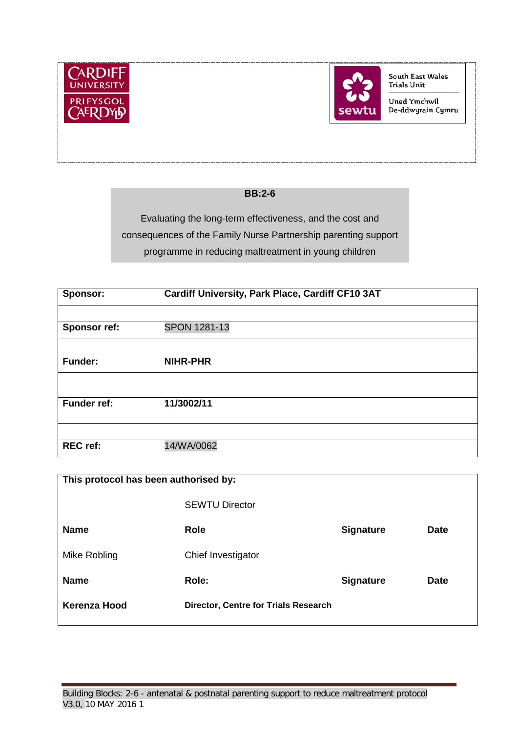



South East Wales Trials Unit

Uned Ymchwil De-ddwyrain Cymru

#### **BB:2-6**

Evaluating the long-term effectiveness, and the cost and consequences of the Family Nurse Partnership parenting support programme in reducing maltreatment in young children

| <b>Sponsor:</b>     | Cardiff University, Park Place, Cardiff CF10 3AT |  |  |  |
|---------------------|--------------------------------------------------|--|--|--|
|                     |                                                  |  |  |  |
| <b>Sponsor ref:</b> | <b>SPON 1281-13</b>                              |  |  |  |
|                     |                                                  |  |  |  |
| <b>Funder:</b>      | <b>NIHR-PHR</b>                                  |  |  |  |
|                     |                                                  |  |  |  |
| <b>Funder ref:</b>  | 11/3002/11                                       |  |  |  |
|                     |                                                  |  |  |  |
|                     |                                                  |  |  |  |
| <b>REC</b> ref:     | 14/WA/0062                                       |  |  |  |

| This protocol has been authorised by: |                                      |                  |             |  |
|---------------------------------------|--------------------------------------|------------------|-------------|--|
|                                       | <b>SEWTU Director</b>                |                  |             |  |
| <b>Name</b>                           | Role                                 | <b>Signature</b> | <b>Date</b> |  |
| Mike Robling                          | Chief Investigator                   |                  |             |  |
| <b>Name</b>                           | Role:                                | <b>Signature</b> | <b>Date</b> |  |
| Kerenza Hood                          | Director, Centre for Trials Research |                  |             |  |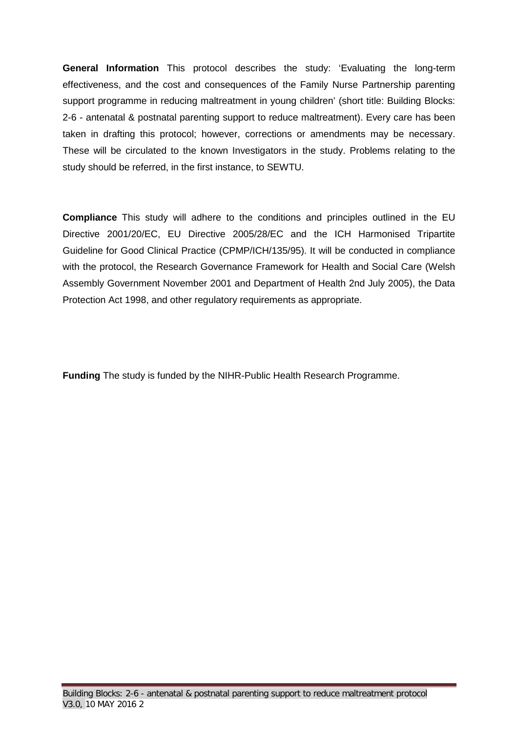**General Information** This protocol describes the study: 'Evaluating the long-term effectiveness, and the cost and consequences of the Family Nurse Partnership parenting support programme in reducing maltreatment in young children' (short title: Building Blocks: 2-6 - antenatal & postnatal parenting support to reduce maltreatment). Every care has been taken in drafting this protocol; however, corrections or amendments may be necessary. These will be circulated to the known Investigators in the study. Problems relating to the study should be referred, in the first instance, to SEWTU.

**Compliance** This study will adhere to the conditions and principles outlined in the EU Directive 2001/20/EC, EU Directive 2005/28/EC and the ICH Harmonised Tripartite Guideline for Good Clinical Practice (CPMP/ICH/135/95). It will be conducted in compliance with the protocol, the Research Governance Framework for Health and Social Care (Welsh Assembly Government November 2001 and Department of Health 2nd July 2005), the Data Protection Act 1998, and other regulatory requirements as appropriate.

**Funding** The study is funded by the NIHR-Public Health Research Programme.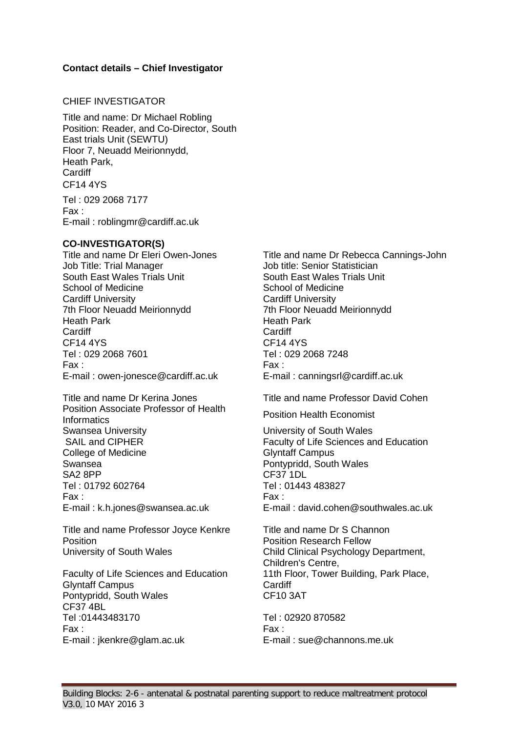#### **Contact details – Chief Investigator**

#### CHIEF INVESTIGATOR

Title and name: Dr Michael Robling Position: Reader, and Co-Director, South East trials Unit (SEWTU) Floor 7, Neuadd Meirionnydd, Heath Park, **Cardiff** CF14 4YS

Tel : 029 2068 7177 Fax : E-mail : roblingmr@cardiff.ac.uk

**CO-INVESTIGATOR(S)** Job Title: Trial Manager Job title: Senior Statistician South East Wales Trials Unit School of Medicine Cardiff University 7th Floor Neuadd Meirionnydd Heath Park Cardiff CF14 4YS Tel : 029 2068 7601 Tel : 029 2068 7248 Fax : Fax : E-mail : owen-jonesce@cardiff.ac.uk E-mail : canningsrl@cardiff.ac.uk

Position Associate Professor of Health **Position Associate Professor of Fleature Position Health Economist**<br>Informatics Swansea University **National Exercise System** University of South Wales College of Medicine Swansea SA2 8PP Tel : 01792 602764 Tel : 01443 483827 Fax : Fax : E-mail : k.h.jones@swansea.ac.uk E-mail : david.cohen@southwales.ac.uk

Title and name Professor Joyce Kenkre Title and name Dr S Channon **Position Position Position Position Research Fellow** University of South Wales Child Clinical Psychology Department,

Glyntaff Campus Pontypridd, South Wales CF37 4BL Tel :01443483170 Tel : 02920 870582 Fax : Fax : E-mail : jkenkre@glam.ac.uk E-mail : sue@channons.me.uk

Title and name Dr Rebecca Cannings-John South East Wales Trials Unit School of Medicine Cardiff University 7th Floor Neuadd Meirionnydd Heath Park Cardiff<br>CF14 4YS

Title and name Dr Kerina Jones Title and name Professor David Cohen

SAIL and CIPHER **Faculty of Life Sciences and Education** Glyntaff Campus Pontypridd, South Wales CF37 1DL

Children's Centre, Faculty of Life Sciences and Education 11th Floor, Tower Building, Park Place, **Cardiff** CF10 3AT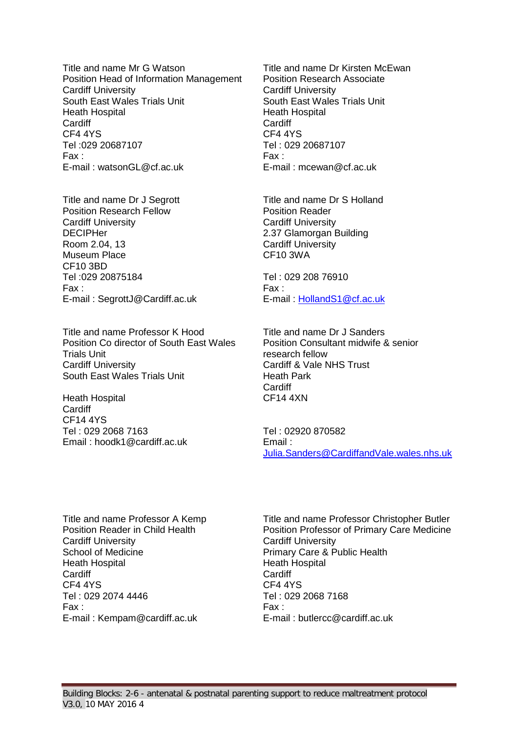Title and name Mr G Watson<br>
Position Head of Information Management<br>
Position Research Associate Position Head of Information Management Cardiff University South East Wales Trials Unit Heath Hospital **Cardiff** CF4 4YS Tel :029 20687107 Tel : 029 20687107 Fax : Fax : E-mail : watsonGL@cf.ac.uk E-mail : mcewan@cf.ac.uk

Title and name Dr J Segrott Title and name Dr S Holland Position Research Fellow **Position Reader** Cardiff University **DECIPHer** Room 2.04, 13 Museum Place CF10 3BD Tel :029 20875184 Tel : 029 208 76910 Fax : Fax : E-mail : SegrottJ@Cardiff.ac.uk E-mail : [HollandS1@cf.ac.uk](mailto:HollandS1@cf.ac.uk)

Title and name Professor K Hood Title and name Dr J Sanders Position Co director of South East Wales Trials Unit Cardiff University Cardiff & Vale NHS Trust South East Wales Trials Unit **Heath Park** 

Heath Hospital **Cardiff** CF14 4YS Tel : 029 2068 7163 Email : hoodk1@cardiff.ac.uk Cardiff University South East Wales Trials Unit Heath Hospital **Cardiff** CF4 4YS

Cardiff University 2.37 Glamorgan Building Cardiff University CF10 3WA

Position Consultant midwife & senior research fellow Cardiff CF14 4XN

Tel : 02920 870582 Email : [Julia.Sanders@CardiffandVale.wales.nhs.uk](mailto:Julia.Sanders@CardiffandVale.wales.nhs.uk)

Cardiff University School of Medicine Heath Hospital **Cardiff** CF4 4YS Tel : 029 2074 4446 **Tel : 029 2074 4446** Tel : 029 2074 4446 Fax : Fax : E-mail : Kempam@cardiff.ac.uk E-mail : butlercc@cardiff.ac.uk

Title and name Professor A Kemp<br>
Position Reader in Child Health<br>
Position Professor of Primary Care Medicine Position Professor of Primary Care Medicine Cardiff University Primary Care & Public Health Heath Hospital **Cardiff** CF4 4YS<br>Tel: 029 2068 7168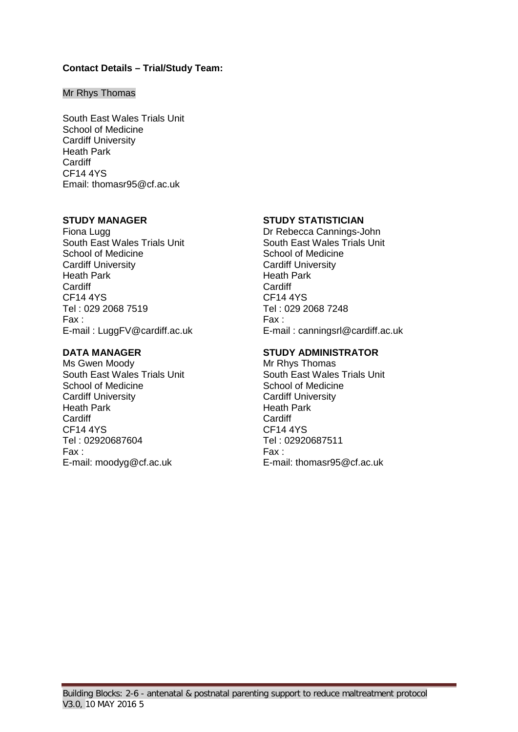#### **Contact Details – Trial/Study Team:**

#### Mr Rhys Thomas

South East Wales Trials Unit School of Medicine Cardiff University Heath Park **Cardiff** CF14 4YS Email: thomasr95@cf.ac.uk

Fiona Lugg Dr Rebecca Cannings-John South East Wales Trials Unit School of Medicine Cardiff University Heath Park **Cardiff** CF14 4YS CF14 4YS Fax : Fax :

Ms Gwen Moody Mr Rhys Thomas South East Wales Trials Unit School of Medicine Cardiff University Heath Park Cardiff<br>CF14 4YS Tel : 02920687604 Tel : 02920687511 Fax : Fax :

#### **STUDY MANAGER STUDY STATISTICIAN**

South East Wales Trials Unit School of Medicine Cardiff University Heath Park **Cardiff** Tel: 029 2068 7248 E-mail : LuggFV@cardiff.ac.uk E-mail : canningsrl@cardiff.ac.uk

#### **DATA MANAGER STUDY ADMINISTRATOR**

South East Wales Trials Unit School of Medicine Cardiff University Heath Park Cardiff CF14 4YS E-mail: moodyg@cf.ac.uk E-mail: thomasr95@cf.ac.uk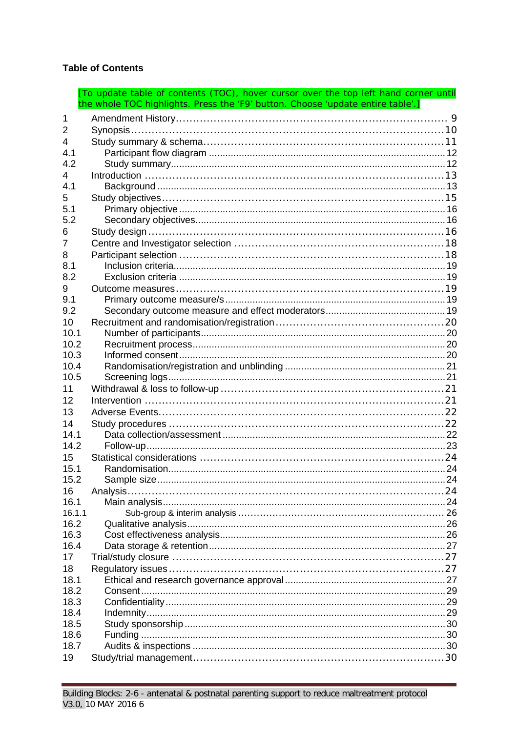# **Table of Contents**

|              | [To update table of contents (TOC), hover cursor over the top left hand corner until<br>the whole TOC highlights. Press the 'F9' button. Choose 'update entire table'.] |  |
|--------------|-------------------------------------------------------------------------------------------------------------------------------------------------------------------------|--|
| 1            |                                                                                                                                                                         |  |
| 2            |                                                                                                                                                                         |  |
|              |                                                                                                                                                                         |  |
| 4<br>4.1     |                                                                                                                                                                         |  |
| 4.2          |                                                                                                                                                                         |  |
|              |                                                                                                                                                                         |  |
| 4<br>4.1     |                                                                                                                                                                         |  |
|              |                                                                                                                                                                         |  |
| 5<br>5.1     |                                                                                                                                                                         |  |
| 5.2          |                                                                                                                                                                         |  |
|              |                                                                                                                                                                         |  |
| 6            |                                                                                                                                                                         |  |
| 7            |                                                                                                                                                                         |  |
| 8            |                                                                                                                                                                         |  |
| 8.1          |                                                                                                                                                                         |  |
| 8.2          |                                                                                                                                                                         |  |
| 9            |                                                                                                                                                                         |  |
| 9.1          |                                                                                                                                                                         |  |
| 9.2          |                                                                                                                                                                         |  |
| 10           |                                                                                                                                                                         |  |
| 10.1         |                                                                                                                                                                         |  |
| 10.2         |                                                                                                                                                                         |  |
| 10.3         |                                                                                                                                                                         |  |
| 10.4         |                                                                                                                                                                         |  |
| 10.5         |                                                                                                                                                                         |  |
| 11           |                                                                                                                                                                         |  |
| 12           |                                                                                                                                                                         |  |
| 13           |                                                                                                                                                                         |  |
| 14           |                                                                                                                                                                         |  |
| 14.1         |                                                                                                                                                                         |  |
| 14.2         |                                                                                                                                                                         |  |
| 15           |                                                                                                                                                                         |  |
| 15.1         |                                                                                                                                                                         |  |
| 15.2         |                                                                                                                                                                         |  |
| 16           |                                                                                                                                                                         |  |
| 16.1         |                                                                                                                                                                         |  |
| 16.1.1       |                                                                                                                                                                         |  |
| 16.2         |                                                                                                                                                                         |  |
| 16.3         |                                                                                                                                                                         |  |
| 16.4         |                                                                                                                                                                         |  |
| 17           |                                                                                                                                                                         |  |
| 18           |                                                                                                                                                                         |  |
| 18.1         |                                                                                                                                                                         |  |
| 18.2         |                                                                                                                                                                         |  |
| 18.3         |                                                                                                                                                                         |  |
| 18.4<br>18.5 |                                                                                                                                                                         |  |
| 18.6         |                                                                                                                                                                         |  |
| 18.7         |                                                                                                                                                                         |  |
|              |                                                                                                                                                                         |  |
| 19           |                                                                                                                                                                         |  |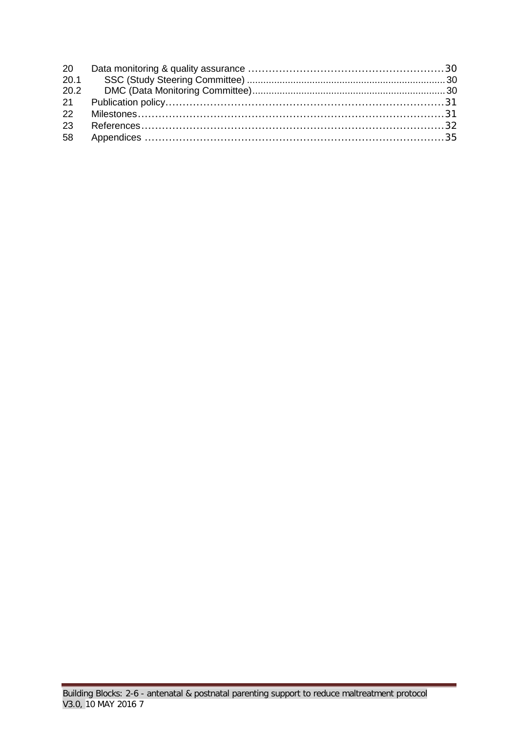| 20   |  |
|------|--|
|      |  |
| 20.2 |  |
| 21   |  |
| 22   |  |
| 23   |  |
| 58   |  |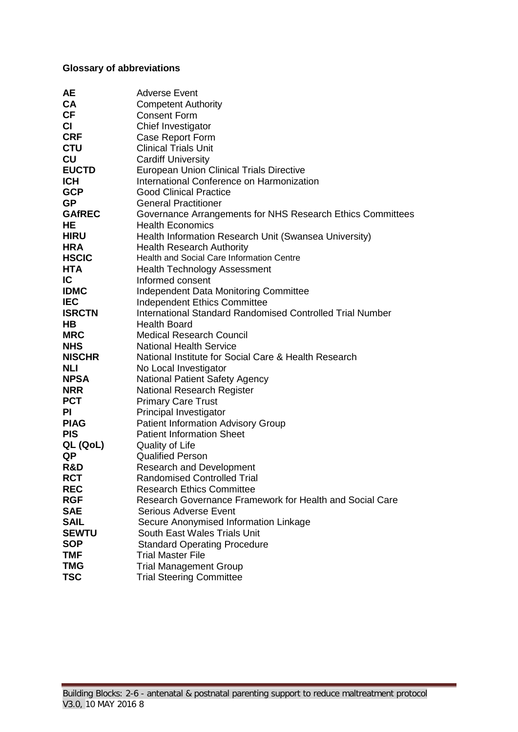# **Glossary of abbreviations**

| <b>AE</b>     | <b>Adverse Event</b>                                       |
|---------------|------------------------------------------------------------|
| <b>CA</b>     | <b>Competent Authority</b>                                 |
| <b>CF</b>     | <b>Consent Form</b>                                        |
| <b>CI</b>     | Chief Investigator                                         |
| <b>CRF</b>    | Case Report Form                                           |
| <b>CTU</b>    | <b>Clinical Trials Unit</b>                                |
| CU            | <b>Cardiff University</b>                                  |
| <b>EUCTD</b>  | <b>European Union Clinical Trials Directive</b>            |
| <b>ICH</b>    | International Conference on Harmonization                  |
| <b>GCP</b>    | <b>Good Clinical Practice</b>                              |
| <b>GP</b>     | <b>General Practitioner</b>                                |
| <b>GAfREC</b> | Governance Arrangements for NHS Research Ethics Committees |
| HE            | <b>Health Economics</b>                                    |
| <b>HIRU</b>   | Health Information Research Unit (Swansea University)      |
| <b>HRA</b>    | <b>Health Research Authority</b>                           |
| <b>HSCIC</b>  | Health and Social Care Information Centre                  |
| <b>HTA</b>    | <b>Health Technology Assessment</b>                        |
| IC            | Informed consent                                           |
| <b>IDMC</b>   | Independent Data Monitoring Committee                      |
| <b>IEC</b>    | <b>Independent Ethics Committee</b>                        |
| <b>ISRCTN</b> | International Standard Randomised Controlled Trial Number  |
| HВ            | <b>Health Board</b>                                        |
| <b>MRC</b>    | <b>Medical Research Council</b>                            |
| <b>NHS</b>    | <b>National Health Service</b>                             |
| <b>NISCHR</b> | National Institute for Social Care & Health Research       |
| <b>NLI</b>    | No Local Investigator                                      |
| <b>NPSA</b>   | <b>National Patient Safety Agency</b>                      |
| <b>NRR</b>    | National Research Register                                 |
| <b>PCT</b>    | <b>Primary Care Trust</b>                                  |
| PI            | Principal Investigator                                     |
| <b>PIAG</b>   | <b>Patient Information Advisory Group</b>                  |
| <b>PIS</b>    | <b>Patient Information Sheet</b>                           |
| QL (QoL)      | Quality of Life                                            |
| <b>QP</b>     | <b>Qualified Person</b>                                    |
| R&D           | <b>Research and Development</b>                            |
| <b>RCT</b>    | <b>Randomised Controlled Trial</b>                         |
| <b>REC</b>    | <b>Research Ethics Committee</b>                           |
| <b>RGF</b>    | Research Governance Framework for Health and Social Care   |
| <b>SAE</b>    | <b>Serious Adverse Event</b>                               |
| <b>SAIL</b>   | Secure Anonymised Information Linkage                      |
| <b>SEWTU</b>  | South East Wales Trials Unit                               |
| <b>SOP</b>    | <b>Standard Operating Procedure</b>                        |
| <b>TMF</b>    | <b>Trial Master File</b>                                   |
| <b>TMG</b>    | <b>Trial Management Group</b>                              |
| <b>TSC</b>    | <b>Trial Steering Committee</b>                            |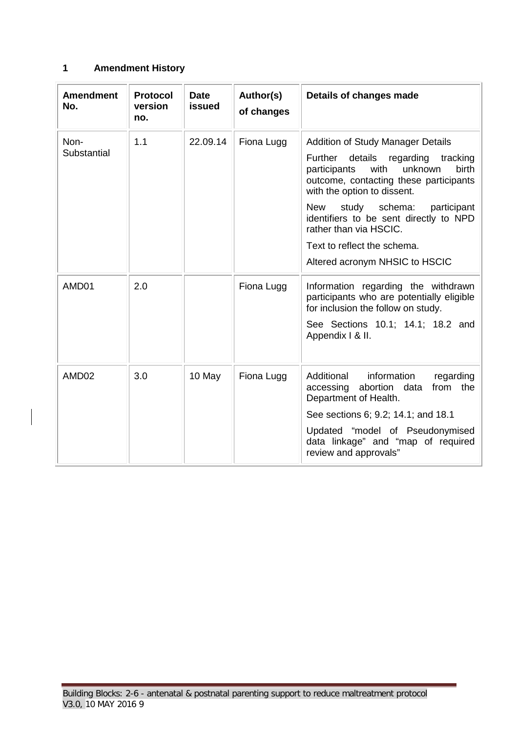# <span id="page-8-0"></span>**1 Amendment History**

| <b>Amendment</b><br>No. | <b>Protocol</b><br>version<br>no. | <b>Date</b><br>issued | Author(s)<br>of changes | Details of changes made                                                                                                                                                                                                                                                                                                                                                                  |
|-------------------------|-----------------------------------|-----------------------|-------------------------|------------------------------------------------------------------------------------------------------------------------------------------------------------------------------------------------------------------------------------------------------------------------------------------------------------------------------------------------------------------------------------------|
| Non-<br>Substantial     | 1.1                               | 22.09.14              | Fiona Lugg              | <b>Addition of Study Manager Details</b><br>details regarding<br>Further<br>tracking<br>with<br>birth<br>unknown<br>participants<br>outcome, contacting these participants<br>with the option to dissent.<br>schema:<br>New<br>study<br>participant<br>identifiers to be sent directly to NPD<br>rather than via HSCIC.<br>Text to reflect the schema.<br>Altered acronym NHSIC to HSCIC |
| AMD01                   | 2.0                               |                       | Fiona Lugg              | Information regarding the withdrawn<br>participants who are potentially eligible<br>for inclusion the follow on study.<br>See Sections 10.1; 14.1; 18.2 and<br>Appendix I & II.                                                                                                                                                                                                          |
| AMD02                   | 3.0                               | 10 May                | Fiona Lugg              | Additional<br>information<br>regarding<br>abortion data<br>from the<br>accessing<br>Department of Health.<br>See sections 6; 9.2; 14.1; and 18.1<br>Updated "model of Pseudonymised<br>data linkage" and "map of required<br>review and approvals"                                                                                                                                       |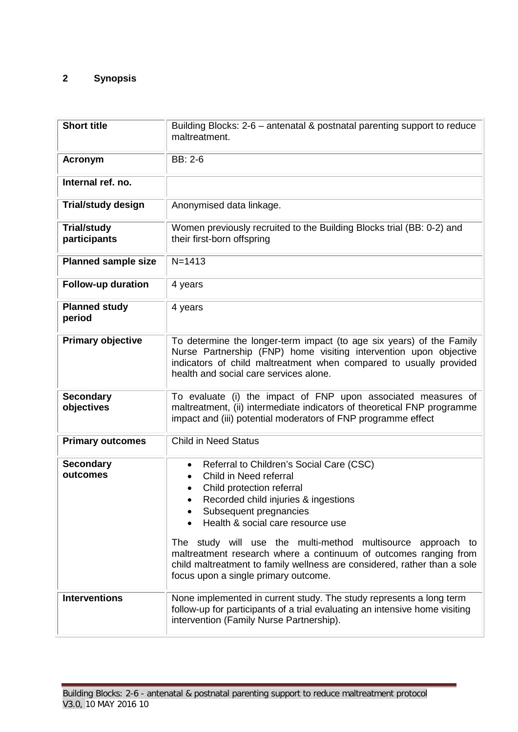# <span id="page-9-0"></span>**2 Synopsis**

| <b>Short title</b>                 | Building Blocks: 2-6 - antenatal & postnatal parenting support to reduce<br>maltreatment.                                                                                                                                                                                                                                                                                                                                                                                                                         |
|------------------------------------|-------------------------------------------------------------------------------------------------------------------------------------------------------------------------------------------------------------------------------------------------------------------------------------------------------------------------------------------------------------------------------------------------------------------------------------------------------------------------------------------------------------------|
| <b>Acronym</b>                     | BB: 2-6                                                                                                                                                                                                                                                                                                                                                                                                                                                                                                           |
| Internal ref. no.                  |                                                                                                                                                                                                                                                                                                                                                                                                                                                                                                                   |
| <b>Trial/study design</b>          | Anonymised data linkage.                                                                                                                                                                                                                                                                                                                                                                                                                                                                                          |
| <b>Trial/study</b><br>participants | Women previously recruited to the Building Blocks trial (BB: 0-2) and<br>their first-born offspring                                                                                                                                                                                                                                                                                                                                                                                                               |
| <b>Planned sample size</b>         | $N = 1413$                                                                                                                                                                                                                                                                                                                                                                                                                                                                                                        |
| Follow-up duration                 | 4 years                                                                                                                                                                                                                                                                                                                                                                                                                                                                                                           |
| <b>Planned study</b><br>period     | 4 years                                                                                                                                                                                                                                                                                                                                                                                                                                                                                                           |
| <b>Primary objective</b>           | To determine the longer-term impact (to age six years) of the Family<br>Nurse Partnership (FNP) home visiting intervention upon objective<br>indicators of child maltreatment when compared to usually provided<br>health and social care services alone.                                                                                                                                                                                                                                                         |
| <b>Secondary</b><br>objectives     | To evaluate (i) the impact of FNP upon associated measures of<br>maltreatment, (ii) intermediate indicators of theoretical FNP programme<br>impact and (iii) potential moderators of FNP programme effect                                                                                                                                                                                                                                                                                                         |
| <b>Primary outcomes</b>            | <b>Child in Need Status</b>                                                                                                                                                                                                                                                                                                                                                                                                                                                                                       |
| <b>Secondary</b><br>outcomes       | Referral to Children's Social Care (CSC)<br>$\bullet$<br>Child in Need referral<br>$\bullet$<br>Child protection referral<br>$\bullet$<br>Recorded child injuries & ingestions<br>$\bullet$<br>Subsequent pregnancies<br>Health & social care resource use<br>The study will use the multi-method multisource approach to<br>maltreatment research where a continuum of outcomes ranging from<br>child maltreatment to family wellness are considered, rather than a sole<br>focus upon a single primary outcome. |
| <b>Interventions</b>               | None implemented in current study. The study represents a long term<br>follow-up for participants of a trial evaluating an intensive home visiting<br>intervention (Family Nurse Partnership).                                                                                                                                                                                                                                                                                                                    |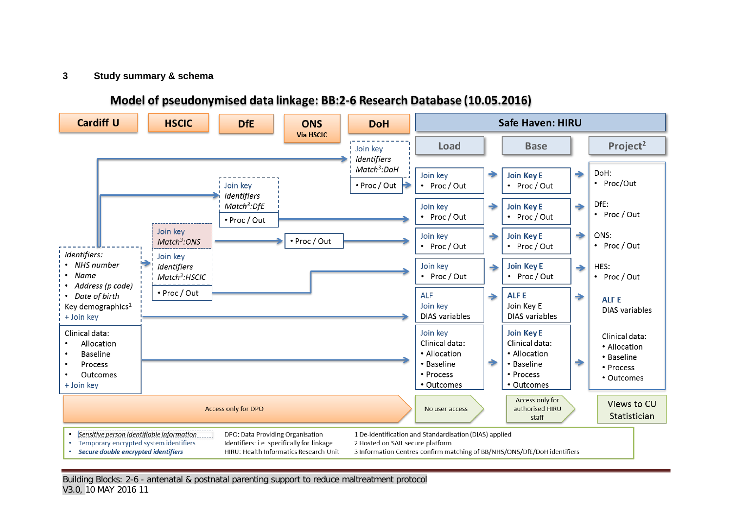#### **3 Study summary & schema**

# Model of pseudonymised data linkage: BB:2-6 Research Database (10.05.2016)

<span id="page-10-0"></span>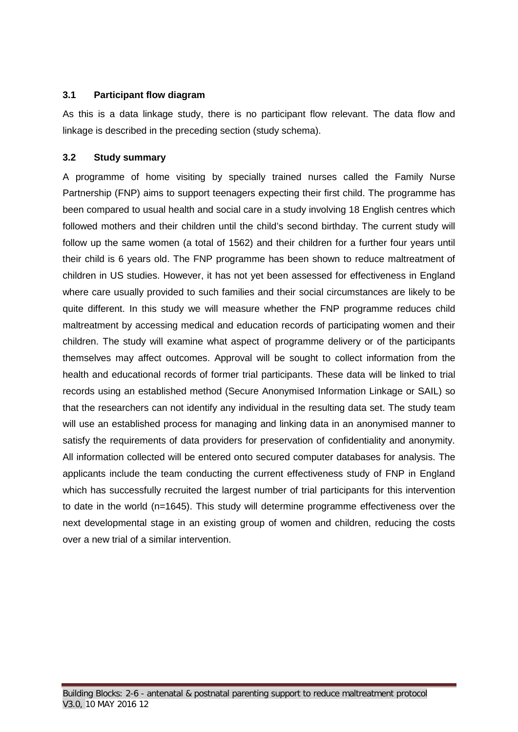#### <span id="page-11-0"></span>**3.1 Participant flow diagram**

As this is a data linkage study, there is no participant flow relevant. The data flow and linkage is described in the preceding section (study schema).

# <span id="page-11-1"></span>**3.2 Study summary**

A programme of home visiting by specially trained nurses called the Family Nurse Partnership (FNP) aims to support teenagers expecting their first child. The programme has been compared to usual health and social care in a study involving 18 English centres which followed mothers and their children until the child's second birthday. The current study will follow up the same women (a total of 1562) and their children for a further four years until their child is 6 years old. The FNP programme has been shown to reduce maltreatment of children in US studies. However, it has not yet been assessed for effectiveness in England where care usually provided to such families and their social circumstances are likely to be quite different. In this study we will measure whether the FNP programme reduces child maltreatment by accessing medical and education records of participating women and their children. The study will examine what aspect of programme delivery or of the participants themselves may affect outcomes. Approval will be sought to collect information from the health and educational records of former trial participants. These data will be linked to trial records using an established method (Secure Anonymised Information Linkage or SAIL) so that the researchers can not identify any individual in the resulting data set. The study team will use an established process for managing and linking data in an anonymised manner to satisfy the requirements of data providers for preservation of confidentiality and anonymity. All information collected will be entered onto secured computer databases for analysis. The applicants include the team conducting the current effectiveness study of FNP in England which has successfully recruited the largest number of trial participants for this intervention to date in the world (n=1645). This study will determine programme effectiveness over the next developmental stage in an existing group of women and children, reducing the costs over a new trial of a similar intervention.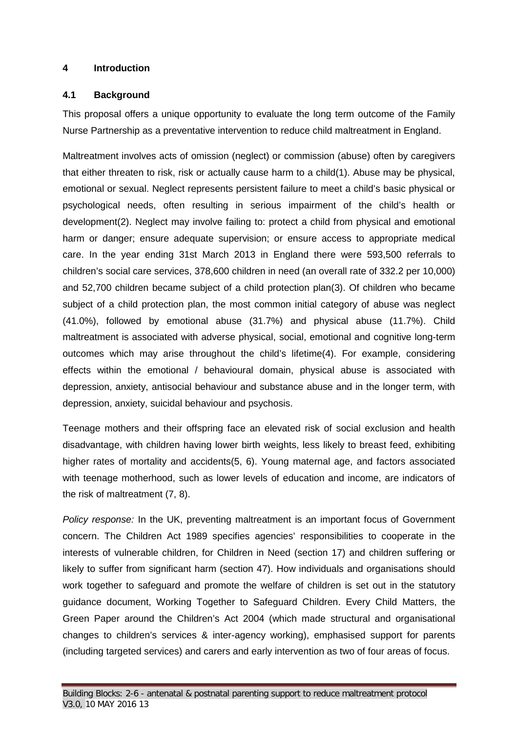#### <span id="page-12-0"></span>**4 Introduction**

#### <span id="page-12-1"></span>**4.1 Background**

This proposal offers a unique opportunity to evaluate the long term outcome of the Family Nurse Partnership as a preventative intervention to reduce child maltreatment in England.

Maltreatment involves acts of omission (neglect) or commission (abuse) often by caregivers that either threaten to risk, risk or actually cause harm to a child(1). Abuse may be physical, emotional or sexual. Neglect represents persistent failure to meet a child's basic physical or psychological needs, often resulting in serious impairment of the child's health or development(2). Neglect may involve failing to: protect a child from physical and emotional harm or danger; ensure adequate supervision; or ensure access to appropriate medical care. In the year ending 31st March 2013 in England there were 593,500 referrals to children's social care services, 378,600 children in need (an overall rate of 332.2 per 10,000) and 52,700 children became subject of a child protection plan(3). Of children who became subject of a child protection plan, the most common initial category of abuse was neglect (41.0%), followed by emotional abuse (31.7%) and physical abuse (11.7%). Child maltreatment is associated with adverse physical, social, emotional and cognitive long-term outcomes which may arise throughout the child's lifetime(4). For example, considering effects within the emotional / behavioural domain, physical abuse is associated with depression, anxiety, antisocial behaviour and substance abuse and in the longer term, with depression, anxiety, suicidal behaviour and psychosis.

Teenage mothers and their offspring face an elevated risk of social exclusion and health disadvantage, with children having lower birth weights, less likely to breast feed, exhibiting higher rates of mortality and accidents(5, 6). Young maternal age, and factors associated with teenage motherhood, such as lower levels of education and income, are indicators of the risk of maltreatment (7, 8).

*Policy response:* In the UK, preventing maltreatment is an important focus of Government concern. The Children Act 1989 specifies agencies' responsibilities to cooperate in the interests of vulnerable children, for Children in Need (section 17) and children suffering or likely to suffer from significant harm (section 47). How individuals and organisations should work together to safeguard and promote the welfare of children is set out in the statutory guidance document, Working Together to Safeguard Children. Every Child Matters, the Green Paper around the Children's Act 2004 (which made structural and organisational changes to children's services & inter-agency working), emphasised support for parents (including targeted services) and carers and early intervention as two of four areas of focus.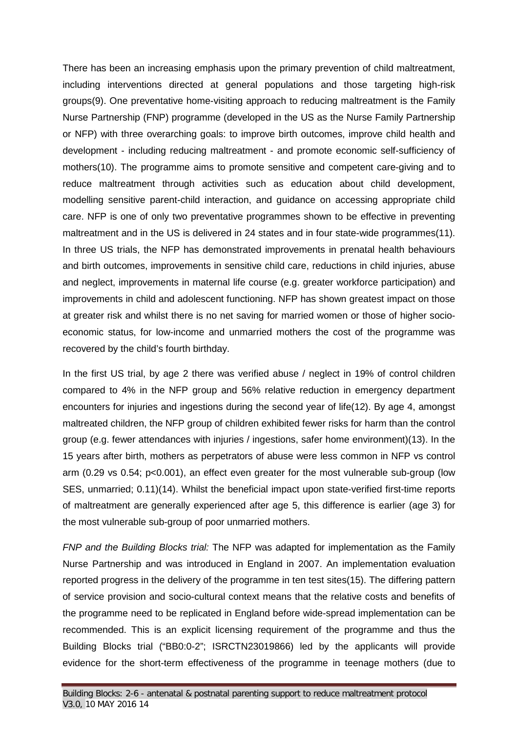There has been an increasing emphasis upon the primary prevention of child maltreatment, including interventions directed at general populations and those targeting high-risk groups(9). One preventative home-visiting approach to reducing maltreatment is the Family Nurse Partnership (FNP) programme (developed in the US as the Nurse Family Partnership or NFP) with three overarching goals: to improve birth outcomes, improve child health and development - including reducing maltreatment - and promote economic self-sufficiency of mothers(10). The programme aims to promote sensitive and competent care-giving and to reduce maltreatment through activities such as education about child development, modelling sensitive parent-child interaction, and guidance on accessing appropriate child care. NFP is one of only two preventative programmes shown to be effective in preventing maltreatment and in the US is delivered in 24 states and in four state-wide programmes(11). In three US trials, the NFP has demonstrated improvements in prenatal health behaviours and birth outcomes, improvements in sensitive child care, reductions in child injuries, abuse and neglect, improvements in maternal life course (e.g. greater workforce participation) and improvements in child and adolescent functioning. NFP has shown greatest impact on those at greater risk and whilst there is no net saving for married women or those of higher socioeconomic status, for low-income and unmarried mothers the cost of the programme was recovered by the child's fourth birthday.

In the first US trial, by age 2 there was verified abuse / neglect in 19% of control children compared to 4% in the NFP group and 56% relative reduction in emergency department encounters for injuries and ingestions during the second year of life(12). By age 4, amongst maltreated children, the NFP group of children exhibited fewer risks for harm than the control group (e.g. fewer attendances with injuries / ingestions, safer home environment)(13). In the 15 years after birth, mothers as perpetrators of abuse were less common in NFP vs control arm (0.29 vs 0.54; p<0.001), an effect even greater for the most vulnerable sub-group (low SES, unmarried; 0.11)(14). Whilst the beneficial impact upon state-verified first-time reports of maltreatment are generally experienced after age 5, this difference is earlier (age 3) for the most vulnerable sub-group of poor unmarried mothers.

*FNP and the Building Blocks trial:* The NFP was adapted for implementation as the Family Nurse Partnership and was introduced in England in 2007. An implementation evaluation reported progress in the delivery of the programme in ten test sites(15). The differing pattern of service provision and socio-cultural context means that the relative costs and benefits of the programme need to be replicated in England before wide-spread implementation can be recommended. This is an explicit licensing requirement of the programme and thus the Building Blocks trial ("BB0:0-2"; ISRCTN23019866) led by the applicants will provide evidence for the short-term effectiveness of the programme in teenage mothers (due to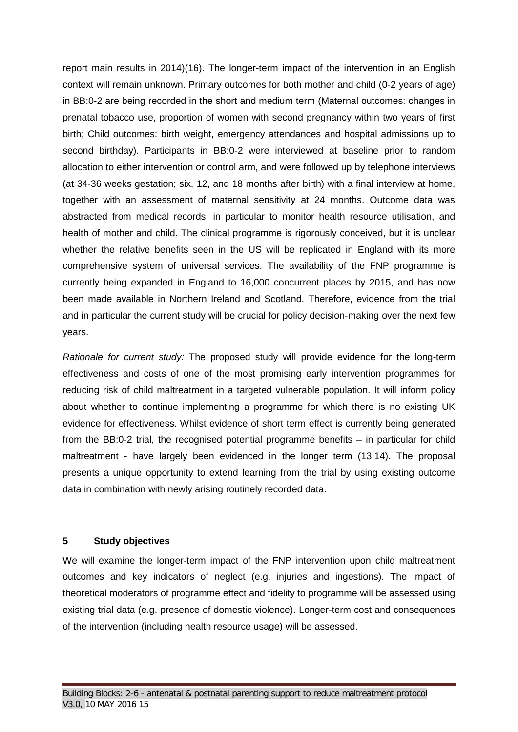report main results in 2014)(16). The longer-term impact of the intervention in an English context will remain unknown. Primary outcomes for both mother and child (0-2 years of age) in BB:0-2 are being recorded in the short and medium term (Maternal outcomes: changes in prenatal tobacco use, proportion of women with second pregnancy within two years of first birth; Child outcomes: birth weight, emergency attendances and hospital admissions up to second birthday). Participants in BB:0-2 were interviewed at baseline prior to random allocation to either intervention or control arm, and were followed up by telephone interviews (at 34-36 weeks gestation; six, 12, and 18 months after birth) with a final interview at home, together with an assessment of maternal sensitivity at 24 months. Outcome data was abstracted from medical records, in particular to monitor health resource utilisation, and health of mother and child. The clinical programme is rigorously conceived, but it is unclear whether the relative benefits seen in the US will be replicated in England with its more comprehensive system of universal services. The availability of the FNP programme is currently being expanded in England to 16,000 concurrent places by 2015, and has now been made available in Northern Ireland and Scotland. Therefore, evidence from the trial and in particular the current study will be crucial for policy decision-making over the next few years.

*Rationale for current study:* The proposed study will provide evidence for the long-term effectiveness and costs of one of the most promising early intervention programmes for reducing risk of child maltreatment in a targeted vulnerable population. It will inform policy about whether to continue implementing a programme for which there is no existing UK evidence for effectiveness. Whilst evidence of short term effect is currently being generated from the BB:0-2 trial, the recognised potential programme benefits – in particular for child maltreatment - have largely been evidenced in the longer term (13,14). The proposal presents a unique opportunity to extend learning from the trial by using existing outcome data in combination with newly arising routinely recorded data.

# <span id="page-14-0"></span>**5 Study objectives**

We will examine the longer-term impact of the FNP intervention upon child maltreatment outcomes and key indicators of neglect (e.g. injuries and ingestions). The impact of theoretical moderators of programme effect and fidelity to programme will be assessed using existing trial data (e.g. presence of domestic violence). Longer-term cost and consequences of the intervention (including health resource usage) will be assessed.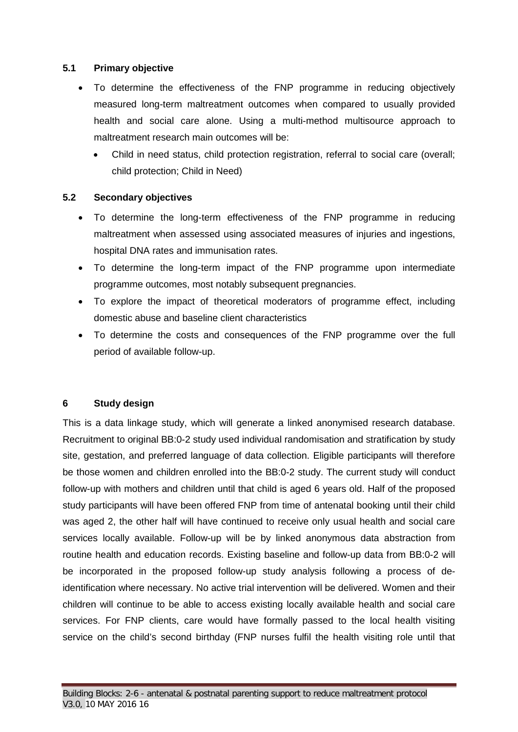#### <span id="page-15-0"></span>**5.1 Primary objective**

- To determine the effectiveness of the FNP programme in reducing objectively measured long-term maltreatment outcomes when compared to usually provided health and social care alone. Using a multi-method multisource approach to maltreatment research main outcomes will be:
	- Child in need status, child protection registration, referral to social care (overall; child protection; Child in Need)

#### <span id="page-15-1"></span>**5.2 Secondary objectives**

- To determine the long-term effectiveness of the FNP programme in reducing maltreatment when assessed using associated measures of injuries and ingestions, hospital DNA rates and immunisation rates.
- To determine the long-term impact of the FNP programme upon intermediate programme outcomes, most notably subsequent pregnancies.
- To explore the impact of theoretical moderators of programme effect, including domestic abuse and baseline client characteristics
- To determine the costs and consequences of the FNP programme over the full period of available follow-up.

#### <span id="page-15-2"></span>**6 Study design**

This is a data linkage study, which will generate a linked anonymised research database. Recruitment to original BB:0-2 study used individual randomisation and stratification by study site, gestation, and preferred language of data collection. Eligible participants will therefore be those women and children enrolled into the BB:0-2 study. The current study will conduct follow-up with mothers and children until that child is aged 6 years old. Half of the proposed study participants will have been offered FNP from time of antenatal booking until their child was aged 2, the other half will have continued to receive only usual health and social care services locally available. Follow-up will be by linked anonymous data abstraction from routine health and education records. Existing baseline and follow-up data from BB:0-2 will be incorporated in the proposed follow-up study analysis following a process of deidentification where necessary. No active trial intervention will be delivered. Women and their children will continue to be able to access existing locally available health and social care services. For FNP clients, care would have formally passed to the local health visiting service on the child's second birthday (FNP nurses fulfil the health visiting role until that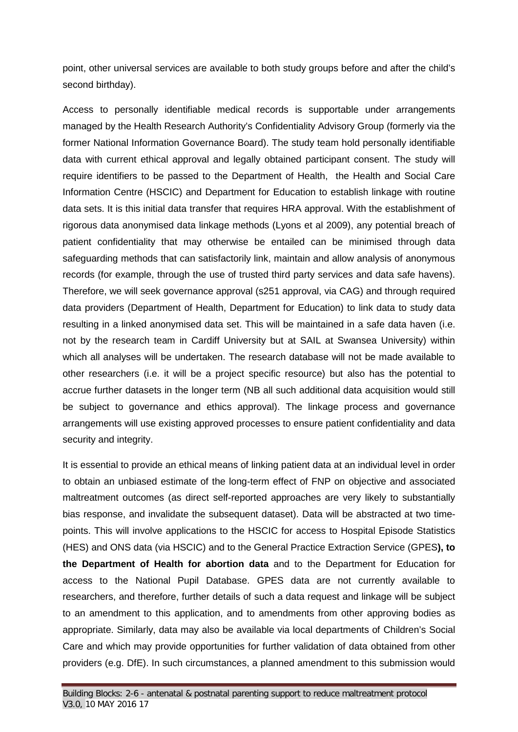point, other universal services are available to both study groups before and after the child's second birthday).

Access to personally identifiable medical records is supportable under arrangements managed by the Health Research Authority's Confidentiality Advisory Group (formerly via the former National Information Governance Board). The study team hold personally identifiable data with current ethical approval and legally obtained participant consent. The study will require identifiers to be passed to the Department of Health, the Health and Social Care Information Centre (HSCIC) and Department for Education to establish linkage with routine data sets. It is this initial data transfer that requires HRA approval. With the establishment of rigorous data anonymised data linkage methods (Lyons et al 2009), any potential breach of patient confidentiality that may otherwise be entailed can be minimised through data safeguarding methods that can satisfactorily link, maintain and allow analysis of anonymous records (for example, through the use of trusted third party services and data safe havens). Therefore, we will seek governance approval (s251 approval, via CAG) and through required data providers (Department of Health, Department for Education) to link data to study data resulting in a linked anonymised data set. This will be maintained in a safe data haven (i.e. not by the research team in Cardiff University but at SAIL at Swansea University) within which all analyses will be undertaken. The research database will not be made available to other researchers (i.e. it will be a project specific resource) but also has the potential to accrue further datasets in the longer term (NB all such additional data acquisition would still be subject to governance and ethics approval). The linkage process and governance arrangements will use existing approved processes to ensure patient confidentiality and data security and integrity.

It is essential to provide an ethical means of linking patient data at an individual level in order to obtain an unbiased estimate of the long-term effect of FNP on objective and associated maltreatment outcomes (as direct self-reported approaches are very likely to substantially bias response, and invalidate the subsequent dataset). Data will be abstracted at two timepoints. This will involve applications to the HSCIC for access to Hospital Episode Statistics (HES) and ONS data (via HSCIC) and to the General Practice Extraction Service (GPES**), to the Department of Health for abortion data** and to the Department for Education for access to the National Pupil Database. GPES data are not currently available to researchers, and therefore, further details of such a data request and linkage will be subject to an amendment to this application, and to amendments from other approving bodies as appropriate. Similarly, data may also be available via local departments of Children's Social Care and which may provide opportunities for further validation of data obtained from other providers (e.g. DfE). In such circumstances, a planned amendment to this submission would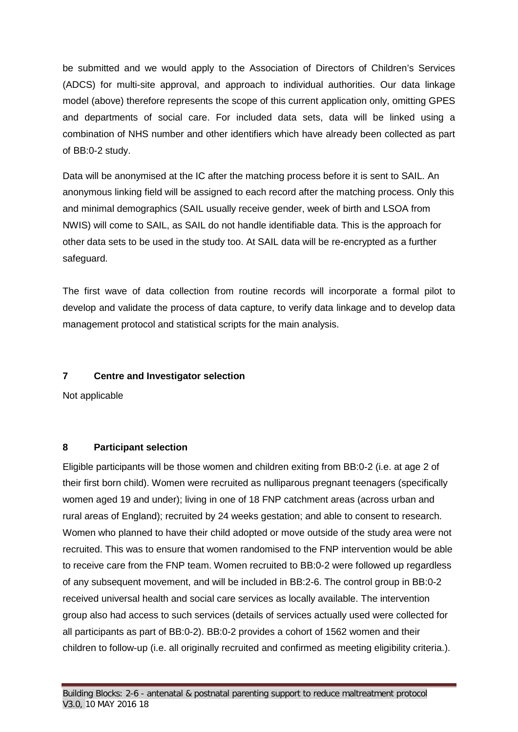be submitted and we would apply to the Association of Directors of Children's Services (ADCS) for multi-site approval, and approach to individual authorities. Our data linkage model (above) therefore represents the scope of this current application only, omitting GPES and departments of social care. For included data sets, data will be linked using a combination of NHS number and other identifiers which have already been collected as part of BB:0-2 study.

Data will be anonymised at the IC after the matching process before it is sent to SAIL. An anonymous linking field will be assigned to each record after the matching process. Only this and minimal demographics (SAIL usually receive gender, week of birth and LSOA from NWIS) will come to SAIL, as SAIL do not handle identifiable data. This is the approach for other data sets to be used in the study too. At SAIL data will be re-encrypted as a further safeguard.

The first wave of data collection from routine records will incorporate a formal pilot to develop and validate the process of data capture, to verify data linkage and to develop data management protocol and statistical scripts for the main analysis.

# <span id="page-17-0"></span>**7 Centre and Investigator selection**

Not applicable

#### <span id="page-17-1"></span>**8 Participant selection**

Eligible participants will be those women and children exiting from BB:0-2 (i.e. at age 2 of their first born child). Women were recruited as nulliparous pregnant teenagers (specifically women aged 19 and under); living in one of 18 FNP catchment areas (across urban and rural areas of England); recruited by 24 weeks gestation; and able to consent to research. Women who planned to have their child adopted or move outside of the study area were not recruited. This was to ensure that women randomised to the FNP intervention would be able to receive care from the FNP team. Women recruited to BB:0-2 were followed up regardless of any subsequent movement, and will be included in BB:2-6. The control group in BB:0-2 received universal health and social care services as locally available. The intervention group also had access to such services (details of services actually used were collected for all participants as part of BB:0-2). BB:0-2 provides a cohort of 1562 women and their children to follow-up (i.e. all originally recruited and confirmed as meeting eligibility criteria.).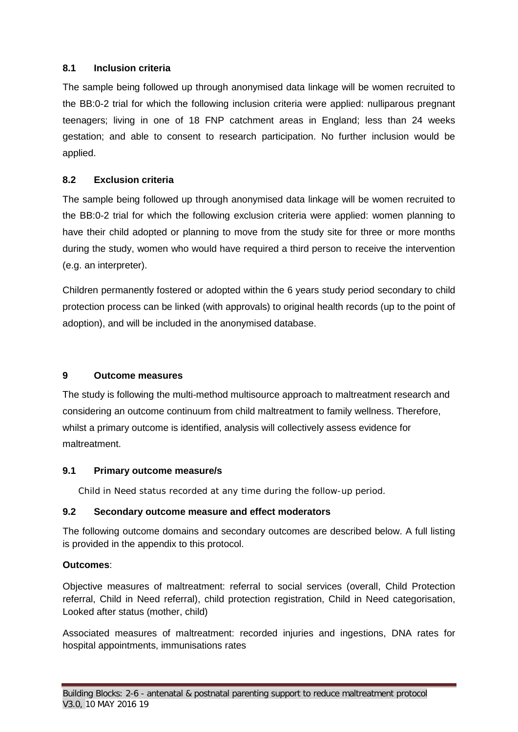# <span id="page-18-0"></span>**8.1 Inclusion criteria**

The sample being followed up through anonymised data linkage will be women recruited to the BB:0-2 trial for which the following inclusion criteria were applied: nulliparous pregnant teenagers; living in one of 18 FNP catchment areas in England; less than 24 weeks gestation; and able to consent to research participation. No further inclusion would be applied.

# <span id="page-18-1"></span>**8.2 Exclusion criteria**

The sample being followed up through anonymised data linkage will be women recruited to the BB:0-2 trial for which the following exclusion criteria were applied: women planning to have their child adopted or planning to move from the study site for three or more months during the study, women who would have required a third person to receive the intervention (e.g. an interpreter).

Children permanently fostered or adopted within the 6 years study period secondary to child protection process can be linked (with approvals) to original health records (up to the point of adoption), and will be included in the anonymised database.

# <span id="page-18-2"></span>**9 Outcome measures**

The study is following the multi-method multisource approach to maltreatment research and considering an outcome continuum from child maltreatment to family wellness. Therefore, whilst a primary outcome is identified, analysis will collectively assess evidence for maltreatment.

# <span id="page-18-3"></span>**9.1 Primary outcome measure/s**

Child in Need status recorded at any time during the follow-up period.

# <span id="page-18-4"></span>**9.2 Secondary outcome measure and effect moderators**

The following outcome domains and secondary outcomes are described below. A full listing is provided in the appendix to this protocol.

# **Outcomes**:

Objective measures of maltreatment: referral to social services (overall, Child Protection referral, Child in Need referral), child protection registration, Child in Need categorisation, Looked after status (mother, child)

Associated measures of maltreatment: recorded injuries and ingestions, DNA rates for hospital appointments, immunisations rates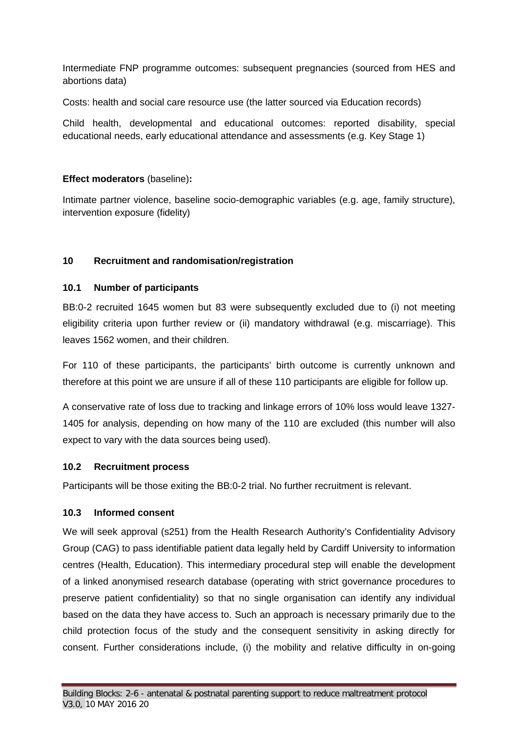Intermediate FNP programme outcomes: subsequent pregnancies (sourced from HES and abortions data)

Costs: health and social care resource use (the latter sourced via Education records)

Child health, developmental and educational outcomes: reported disability, special educational needs, early educational attendance and assessments (e.g. Key Stage 1)

# **Effect moderators** (baseline)**:**

Intimate partner violence, baseline socio-demographic variables (e.g. age, family structure), intervention exposure (fidelity)

# <span id="page-19-0"></span>**10 Recruitment and randomisation/registration**

# <span id="page-19-1"></span>**10.1 Number of participants**

BB:0-2 recruited 1645 women but 83 were subsequently excluded due to (i) not meeting eligibility criteria upon further review or (ii) mandatory withdrawal (e.g. miscarriage). This leaves 1562 women, and their children.

For 110 of these participants, the participants' birth outcome is currently unknown and therefore at this point we are unsure if all of these 110 participants are eligible for follow up.

A conservative rate of loss due to tracking and linkage errors of 10% loss would leave 1327- 1405 for analysis, depending on how many of the 110 are excluded (this number will also expect to vary with the data sources being used).

# <span id="page-19-2"></span>**10.2 Recruitment process**

Participants will be those exiting the BB:0-2 trial. No further recruitment is relevant.

# <span id="page-19-3"></span>**10.3 Informed consent**

We will seek approval (s251) from the Health Research Authority's Confidentiality Advisory Group (CAG) to pass identifiable patient data legally held by Cardiff University to information centres (Health, Education). This intermediary procedural step will enable the development of a linked anonymised research database (operating with strict governance procedures to preserve patient confidentiality) so that no single organisation can identify any individual based on the data they have access to. Such an approach is necessary primarily due to the child protection focus of the study and the consequent sensitivity in asking directly for consent. Further considerations include, (i) the mobility and relative difficulty in on-going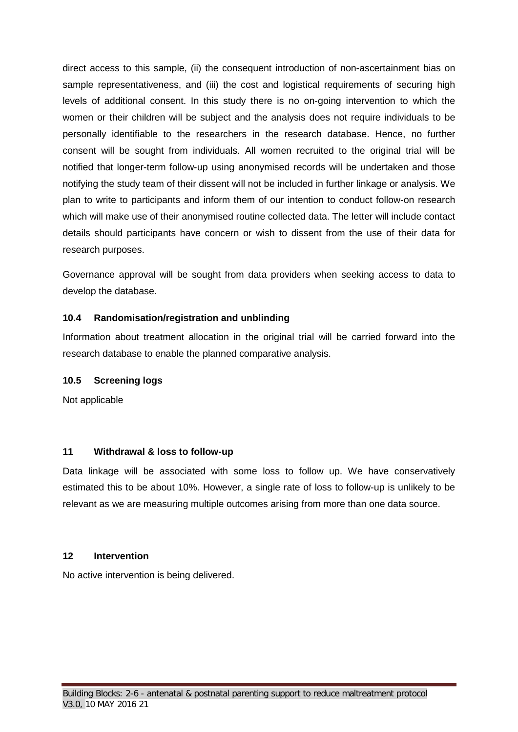direct access to this sample, (ii) the consequent introduction of non-ascertainment bias on sample representativeness, and (iii) the cost and logistical requirements of securing high levels of additional consent. In this study there is no on-going intervention to which the women or their children will be subject and the analysis does not require individuals to be personally identifiable to the researchers in the research database. Hence, no further consent will be sought from individuals. All women recruited to the original trial will be notified that longer-term follow-up using anonymised records will be undertaken and those notifying the study team of their dissent will not be included in further linkage or analysis. We plan to write to participants and inform them of our intention to conduct follow-on research which will make use of their anonymised routine collected data. The letter will include contact details should participants have concern or wish to dissent from the use of their data for research purposes.

Governance approval will be sought from data providers when seeking access to data to develop the database.

# <span id="page-20-0"></span>**10.4 Randomisation/registration and unblinding**

Information about treatment allocation in the original trial will be carried forward into the research database to enable the planned comparative analysis.

#### <span id="page-20-1"></span>**10.5 Screening logs**

Not applicable

# <span id="page-20-2"></span>**11 Withdrawal & loss to follow-up**

Data linkage will be associated with some loss to follow up. We have conservatively estimated this to be about 10%. However, a single rate of loss to follow-up is unlikely to be relevant as we are measuring multiple outcomes arising from more than one data source.

#### <span id="page-20-3"></span>**12 Intervention**

No active intervention is being delivered.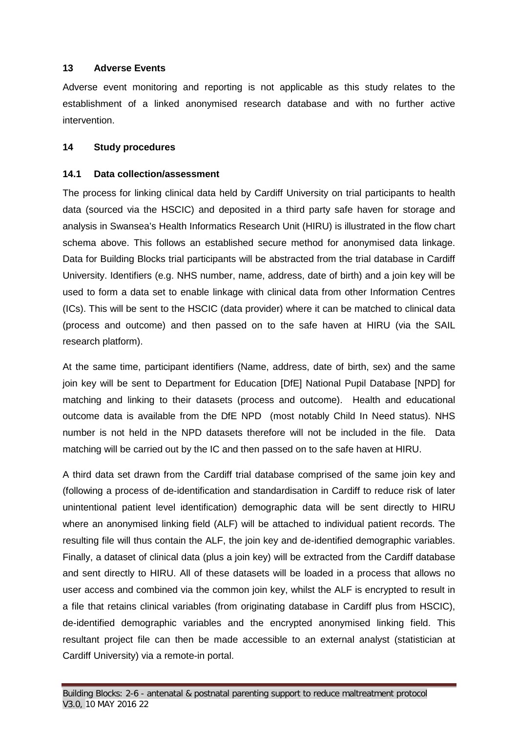#### <span id="page-21-0"></span>**13 Adverse Events**

Adverse event monitoring and reporting is not applicable as this study relates to the establishment of a linked anonymised research database and with no further active intervention.

#### <span id="page-21-1"></span>**14 Study procedures**

#### <span id="page-21-2"></span>**14.1 Data collection/assessment**

The process for linking clinical data held by Cardiff University on trial participants to health data (sourced via the HSCIC) and deposited in a third party safe haven for storage and analysis in Swansea's Health Informatics Research Unit (HIRU) is illustrated in the flow chart schema above. This follows an established secure method for anonymised data linkage. Data for Building Blocks trial participants will be abstracted from the trial database in Cardiff University. Identifiers (e.g. NHS number, name, address, date of birth) and a join key will be used to form a data set to enable linkage with clinical data from other Information Centres (ICs). This will be sent to the HSCIC (data provider) where it can be matched to clinical data (process and outcome) and then passed on to the safe haven at HIRU (via the SAIL research platform).

At the same time, participant identifiers (Name, address, date of birth, sex) and the same join key will be sent to Department for Education [DfE] National Pupil Database [NPD] for matching and linking to their datasets (process and outcome). Health and educational outcome data is available from the DfE NPD (most notably Child In Need status). NHS number is not held in the NPD datasets therefore will not be included in the file. Data matching will be carried out by the IC and then passed on to the safe haven at HIRU.

A third data set drawn from the Cardiff trial database comprised of the same join key and (following a process of de-identification and standardisation in Cardiff to reduce risk of later unintentional patient level identification) demographic data will be sent directly to HIRU where an anonymised linking field (ALF) will be attached to individual patient records. The resulting file will thus contain the ALF, the join key and de-identified demographic variables. Finally, a dataset of clinical data (plus a join key) will be extracted from the Cardiff database and sent directly to HIRU. All of these datasets will be loaded in a process that allows no user access and combined via the common join key, whilst the ALF is encrypted to result in a file that retains clinical variables (from originating database in Cardiff plus from HSCIC), de-identified demographic variables and the encrypted anonymised linking field. This resultant project file can then be made accessible to an external analyst (statistician at Cardiff University) via a remote-in portal.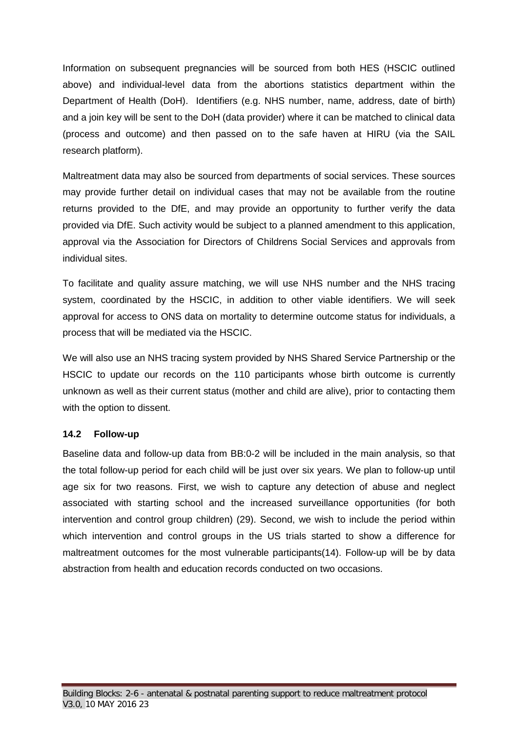Information on subsequent pregnancies will be sourced from both HES (HSCIC outlined above) and individual-level data from the abortions statistics department within the Department of Health (DoH). Identifiers (e.g. NHS number, name, address, date of birth) and a join key will be sent to the DoH (data provider) where it can be matched to clinical data (process and outcome) and then passed on to the safe haven at HIRU (via the SAIL research platform).

Maltreatment data may also be sourced from departments of social services. These sources may provide further detail on individual cases that may not be available from the routine returns provided to the DfE, and may provide an opportunity to further verify the data provided via DfE. Such activity would be subject to a planned amendment to this application, approval via the Association for Directors of Childrens Social Services and approvals from individual sites.

To facilitate and quality assure matching, we will use NHS number and the NHS tracing system, coordinated by the HSCIC, in addition to other viable identifiers. We will seek approval for access to ONS data on mortality to determine outcome status for individuals, a process that will be mediated via the HSCIC.

We will also use an NHS tracing system provided by NHS Shared Service Partnership or the HSCIC to update our records on the 110 participants whose birth outcome is currently unknown as well as their current status (mother and child are alive), prior to contacting them with the option to dissent.

#### <span id="page-22-0"></span>**14.2 Follow-up**

Baseline data and follow-up data from BB:0-2 will be included in the main analysis, so that the total follow-up period for each child will be just over six years. We plan to follow-up until age six for two reasons. First, we wish to capture any detection of abuse and neglect associated with starting school and the increased surveillance opportunities (for both intervention and control group children) (29). Second, we wish to include the period within which intervention and control groups in the US trials started to show a difference for maltreatment outcomes for the most vulnerable participants(14). Follow-up will be by data abstraction from health and education records conducted on two occasions.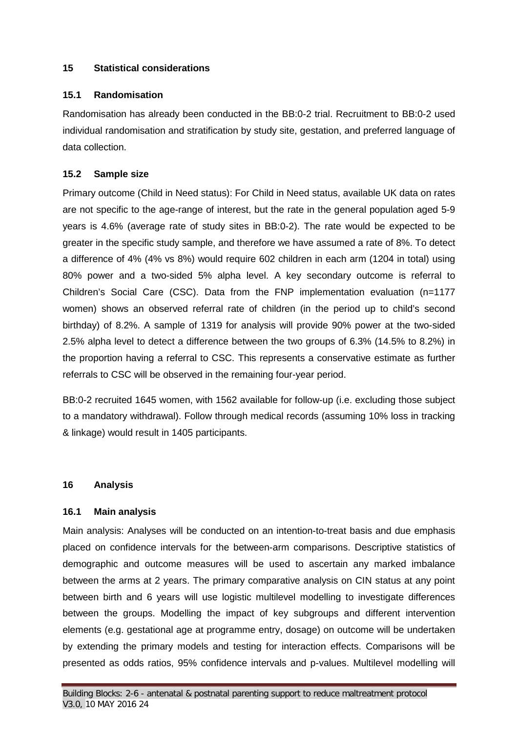#### <span id="page-23-0"></span>**15 Statistical considerations**

#### <span id="page-23-1"></span>**15.1 Randomisation**

Randomisation has already been conducted in the BB:0-2 trial. Recruitment to BB:0-2 used individual randomisation and stratification by study site, gestation, and preferred language of data collection.

# <span id="page-23-2"></span>**15.2 Sample size**

Primary outcome (Child in Need status): For Child in Need status, available UK data on rates are not specific to the age-range of interest, but the rate in the general population aged 5-9 years is 4.6% (average rate of study sites in BB:0-2). The rate would be expected to be greater in the specific study sample, and therefore we have assumed a rate of 8%. To detect a difference of 4% (4% vs 8%) would require 602 children in each arm (1204 in total) using 80% power and a two-sided 5% alpha level. A key secondary outcome is referral to Children's Social Care (CSC). Data from the FNP implementation evaluation (n=1177 women) shows an observed referral rate of children (in the period up to child's second birthday) of 8.2%. A sample of 1319 for analysis will provide 90% power at the two-sided 2.5% alpha level to detect a difference between the two groups of 6.3% (14.5% to 8.2%) in the proportion having a referral to CSC. This represents a conservative estimate as further referrals to CSC will be observed in the remaining four-year period.

BB:0-2 recruited 1645 women, with 1562 available for follow-up (i.e. excluding those subject to a mandatory withdrawal). Follow through medical records (assuming 10% loss in tracking & linkage) would result in 1405 participants.

#### <span id="page-23-3"></span>**16 Analysis**

# <span id="page-23-4"></span>**16.1 Main analysis**

Main analysis: Analyses will be conducted on an intention-to-treat basis and due emphasis placed on confidence intervals for the between-arm comparisons. Descriptive statistics of demographic and outcome measures will be used to ascertain any marked imbalance between the arms at 2 years. The primary comparative analysis on CIN status at any point between birth and 6 years will use logistic multilevel modelling to investigate differences between the groups. Modelling the impact of key subgroups and different intervention elements (e.g. gestational age at programme entry, dosage) on outcome will be undertaken by extending the primary models and testing for interaction effects. Comparisons will be presented as odds ratios, 95% confidence intervals and p-values. Multilevel modelling will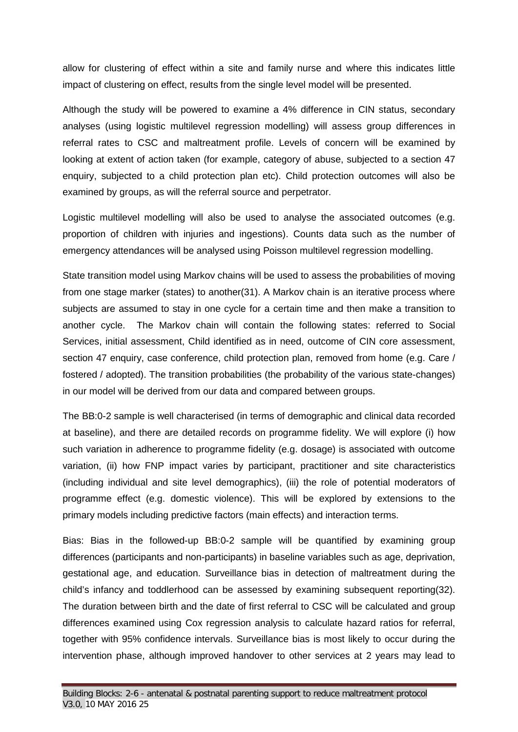allow for clustering of effect within a site and family nurse and where this indicates little impact of clustering on effect, results from the single level model will be presented.

Although the study will be powered to examine a 4% difference in CIN status, secondary analyses (using logistic multilevel regression modelling) will assess group differences in referral rates to CSC and maltreatment profile. Levels of concern will be examined by looking at extent of action taken (for example, category of abuse, subjected to a section 47 enquiry, subjected to a child protection plan etc). Child protection outcomes will also be examined by groups, as will the referral source and perpetrator.

Logistic multilevel modelling will also be used to analyse the associated outcomes (e.g. proportion of children with injuries and ingestions). Counts data such as the number of emergency attendances will be analysed using Poisson multilevel regression modelling.

State transition model using Markov chains will be used to assess the probabilities of moving from one stage marker (states) to another(31). A Markov chain is an iterative process where subjects are assumed to stay in one cycle for a certain time and then make a transition to another cycle. The Markov chain will contain the following states: referred to Social Services, initial assessment, Child identified as in need, outcome of CIN core assessment, section 47 enquiry, case conference, child protection plan, removed from home (e.g. Care / fostered / adopted). The transition probabilities (the probability of the various state-changes) in our model will be derived from our data and compared between groups.

The BB:0-2 sample is well characterised (in terms of demographic and clinical data recorded at baseline), and there are detailed records on programme fidelity. We will explore (i) how such variation in adherence to programme fidelity (e.g. dosage) is associated with outcome variation, (ii) how FNP impact varies by participant, practitioner and site characteristics (including individual and site level demographics), (iii) the role of potential moderators of programme effect (e.g. domestic violence). This will be explored by extensions to the primary models including predictive factors (main effects) and interaction terms.

Bias: Bias in the followed-up BB:0-2 sample will be quantified by examining group differences (participants and non-participants) in baseline variables such as age, deprivation, gestational age, and education. Surveillance bias in detection of maltreatment during the child's infancy and toddlerhood can be assessed by examining subsequent reporting(32). The duration between birth and the date of first referral to CSC will be calculated and group differences examined using Cox regression analysis to calculate hazard ratios for referral, together with 95% confidence intervals. Surveillance bias is most likely to occur during the intervention phase, although improved handover to other services at 2 years may lead to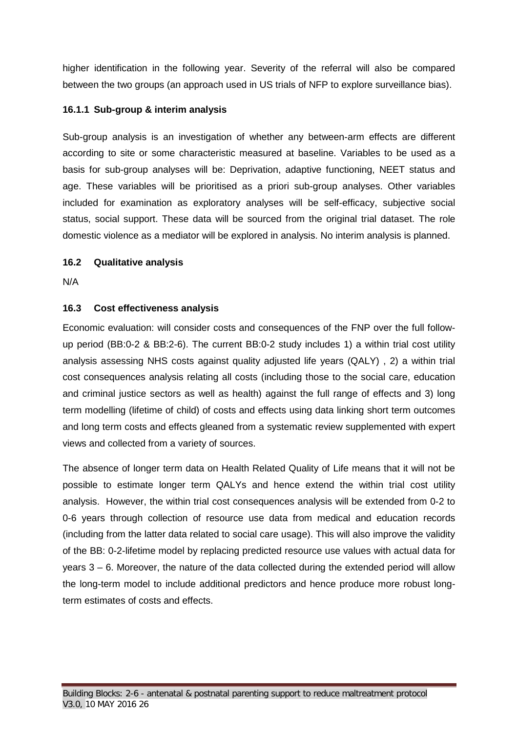higher identification in the following year. Severity of the referral will also be compared between the two groups (an approach used in US trials of NFP to explore surveillance bias).

# <span id="page-25-0"></span>**16.1.1 Sub-group & interim analysis**

Sub-group analysis is an investigation of whether any between-arm effects are different according to site or some characteristic measured at baseline. Variables to be used as a basis for sub-group analyses will be: Deprivation, adaptive functioning, NEET status and age. These variables will be prioritised as a priori sub-group analyses. Other variables included for examination as exploratory analyses will be self-efficacy, subjective social status, social support. These data will be sourced from the original trial dataset. The role domestic violence as a mediator will be explored in analysis. No interim analysis is planned.

# <span id="page-25-1"></span>**16.2 Qualitative analysis**

N/A

# <span id="page-25-2"></span>**16.3 Cost effectiveness analysis**

Economic evaluation: will consider costs and consequences of the FNP over the full followup period (BB:0-2 & BB:2-6). The current BB:0-2 study includes 1) a within trial cost utility analysis assessing NHS costs against quality adjusted life years (QALY) , 2) a within trial cost consequences analysis relating all costs (including those to the social care, education and criminal justice sectors as well as health) against the full range of effects and 3) long term modelling (lifetime of child) of costs and effects using data linking short term outcomes and long term costs and effects gleaned from a systematic review supplemented with expert views and collected from a variety of sources.

The absence of longer term data on Health Related Quality of Life means that it will not be possible to estimate longer term QALYs and hence extend the within trial cost utility analysis. However, the within trial cost consequences analysis will be extended from 0-2 to 0-6 years through collection of resource use data from medical and education records (including from the latter data related to social care usage). This will also improve the validity of the BB: 0-2-lifetime model by replacing predicted resource use values with actual data for years 3 – 6. Moreover, the nature of the data collected during the extended period will allow the long-term model to include additional predictors and hence produce more robust longterm estimates of costs and effects.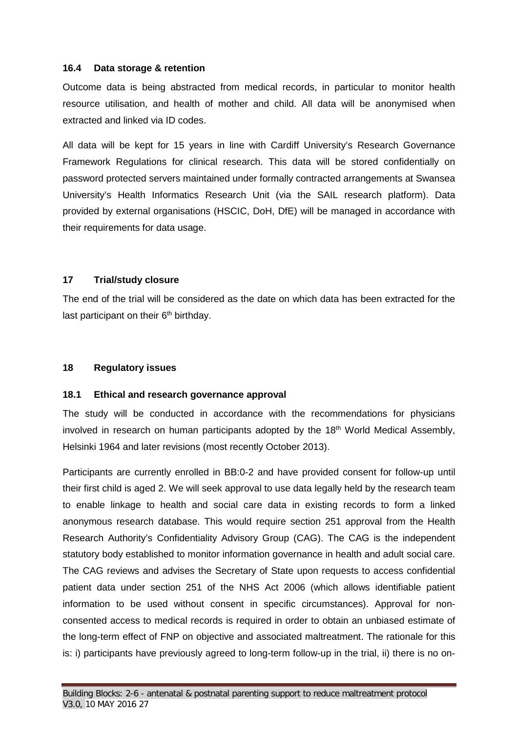#### <span id="page-26-0"></span>**16.4 Data storage & retention**

Outcome data is being abstracted from medical records, in particular to monitor health resource utilisation, and health of mother and child. All data will be anonymised when extracted and linked via ID codes.

All data will be kept for 15 years in line with Cardiff University's Research Governance Framework Regulations for clinical research. This data will be stored confidentially on password protected servers maintained under formally contracted arrangements at Swansea University's Health Informatics Research Unit (via the SAIL research platform). Data provided by external organisations (HSCIC, DoH, DfE) will be managed in accordance with their requirements for data usage.

#### <span id="page-26-1"></span>**17 Trial/study closure**

The end of the trial will be considered as the date on which data has been extracted for the last participant on their  $6<sup>th</sup>$  birthday.

#### <span id="page-26-2"></span>**18 Regulatory issues**

#### <span id="page-26-3"></span>**18.1 Ethical and research governance approval**

The study will be conducted in accordance with the recommendations for physicians involved in research on human participants adopted by the 18<sup>th</sup> World Medical Assembly, Helsinki 1964 and later revisions (most recently October 2013).

Participants are currently enrolled in BB:0-2 and have provided consent for follow-up until their first child is aged 2. We will seek approval to use data legally held by the research team to enable linkage to health and social care data in existing records to form a linked anonymous research database. This would require section 251 approval from the Health Research Authority's Confidentiality Advisory Group (CAG). The CAG is the independent statutory body established to monitor information governance in health and adult social care. The CAG reviews and advises the Secretary of State upon requests to access confidential patient data under section 251 of the NHS Act 2006 (which allows identifiable patient information to be used without consent in specific circumstances). Approval for nonconsented access to medical records is required in order to obtain an unbiased estimate of the long-term effect of FNP on objective and associated maltreatment. The rationale for this is: i) participants have previously agreed to long-term follow-up in the trial, ii) there is no on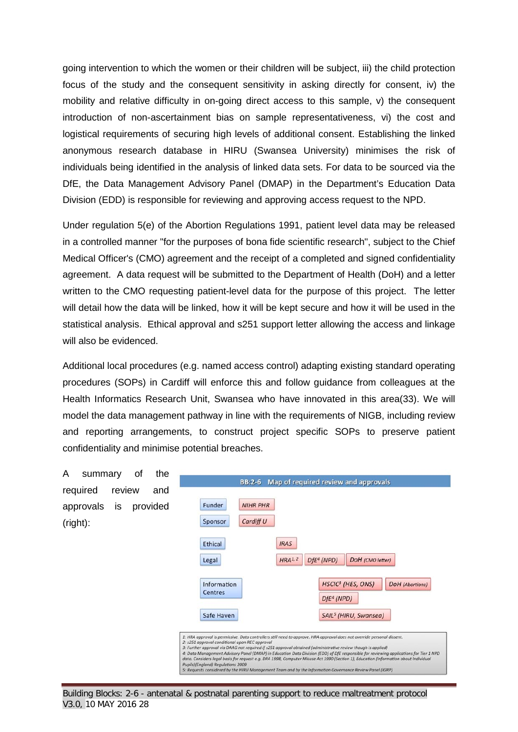going intervention to which the women or their children will be subject, iii) the child protection focus of the study and the consequent sensitivity in asking directly for consent, iv) the mobility and relative difficulty in on-going direct access to this sample, v) the consequent introduction of non-ascertainment bias on sample representativeness, vi) the cost and logistical requirements of securing high levels of additional consent. Establishing the linked anonymous research database in HIRU (Swansea University) minimises the risk of individuals being identified in the analysis of linked data sets. For data to be sourced via the DfE, the Data Management Advisory Panel (DMAP) in the Department's Education Data Division (EDD) is responsible for reviewing and approving access request to the NPD.

Under regulation 5(e) of the Abortion Regulations 1991, patient level data may be released in a controlled manner "for the purposes of bona fide scientific research", subject to the Chief Medical Officer's (CMO) agreement and the receipt of a completed and signed confidentiality agreement. A data request will be submitted to the Department of Health (DoH) and a letter written to the CMO requesting patient-level data for the purpose of this project. The letter will detail how the data will be linked, how it will be kept secure and how it will be used in the statistical analysis. Ethical approval and s251 support letter allowing the access and linkage will also be evidenced.

Additional local procedures (e.g. named access control) adapting existing standard operating procedures (SOPs) in Cardiff will enforce this and follow guidance from colleagues at the Health Informatics Research Unit, Swansea who have innovated in this area(33). We will model the data management pathway in line with the requirements of NIGB, including review and reporting arrangements, to construct project specific SOPs to preserve patient confidentiality and minimise potential breaches.

<span id="page-27-0"></span>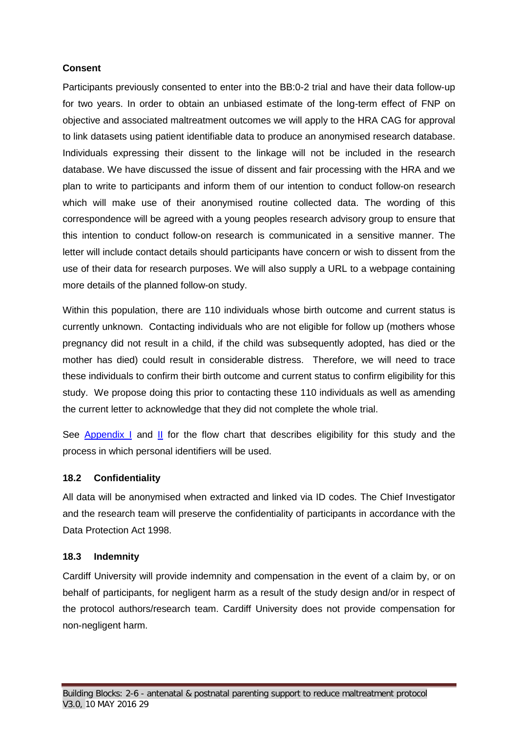# **Consent**

Participants previously consented to enter into the BB:0-2 trial and have their data follow-up for two years. In order to obtain an unbiased estimate of the long-term effect of FNP on objective and associated maltreatment outcomes we will apply to the HRA CAG for approval to link datasets using patient identifiable data to produce an anonymised research database. Individuals expressing their dissent to the linkage will not be included in the research database. We have discussed the issue of dissent and fair processing with the HRA and we plan to write to participants and inform them of our intention to conduct follow-on research which will make use of their anonymised routine collected data. The wording of this correspondence will be agreed with a young peoples research advisory group to ensure that this intention to conduct follow-on research is communicated in a sensitive manner. The letter will include contact details should participants have concern or wish to dissent from the use of their data for research purposes. We will also supply a URL to a webpage containing more details of the planned follow-on study.

Within this population, there are 110 individuals whose birth outcome and current status is currently unknown. Contacting individuals who are not eligible for follow up (mothers whose pregnancy did not result in a child, if the child was subsequently adopted, has died or the mother has died) could result in considerable distress. Therefore, we will need to trace these individuals to confirm their birth outcome and current status to confirm eligibility for this study. We propose doing this prior to contacting these 110 individuals as well as amending the current letter to acknowledge that they did not complete the whole trial.

See [Appendix I](#page-34-0) and [II](#page-35-0) for the flow chart that describes eligibility for this study and the process in which personal identifiers will be used.

# <span id="page-28-0"></span>**18.2 Confidentiality**

All data will be anonymised when extracted and linked via ID codes. The Chief Investigator and the research team will preserve the confidentiality of participants in accordance with the Data Protection Act 1998.

# <span id="page-28-1"></span>**18.3 Indemnity**

Cardiff University will provide indemnity and compensation in the event of a claim by, or on behalf of participants, for negligent harm as a result of the study design and/or in respect of the protocol authors/research team. Cardiff University does not provide compensation for non-negligent harm.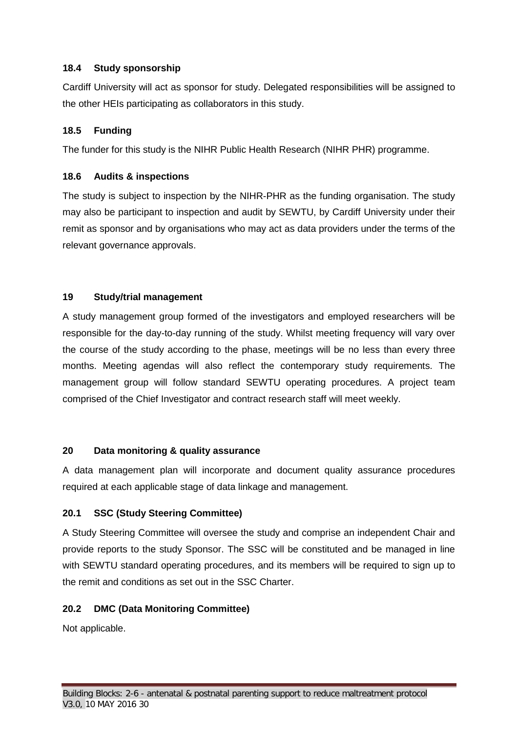# <span id="page-29-0"></span>**18.4 Study sponsorship**

Cardiff University will act as sponsor for study. Delegated responsibilities will be assigned to the other HEIs participating as collaborators in this study.

# <span id="page-29-1"></span>**18.5 Funding**

The funder for this study is the NIHR Public Health Research (NIHR PHR) programme.

# <span id="page-29-2"></span>**18.6 Audits & inspections**

The study is subject to inspection by the NIHR-PHR as the funding organisation. The study may also be participant to inspection and audit by SEWTU, by Cardiff University under their remit as sponsor and by organisations who may act as data providers under the terms of the relevant governance approvals.

# <span id="page-29-3"></span>**19 Study/trial management**

A study management group formed of the investigators and employed researchers will be responsible for the day-to-day running of the study. Whilst meeting frequency will vary over the course of the study according to the phase, meetings will be no less than every three months. Meeting agendas will also reflect the contemporary study requirements. The management group will follow standard SEWTU operating procedures. A project team comprised of the Chief Investigator and contract research staff will meet weekly.

# <span id="page-29-4"></span>**20 Data monitoring & quality assurance**

A data management plan will incorporate and document quality assurance procedures required at each applicable stage of data linkage and management.

# <span id="page-29-5"></span>**20.1 SSC (Study Steering Committee)**

A Study Steering Committee will oversee the study and comprise an independent Chair and provide reports to the study Sponsor. The SSC will be constituted and be managed in line with SEWTU standard operating procedures, and its members will be required to sign up to the remit and conditions as set out in the SSC Charter.

# <span id="page-29-6"></span>**20.2 DMC (Data Monitoring Committee)**

Not applicable.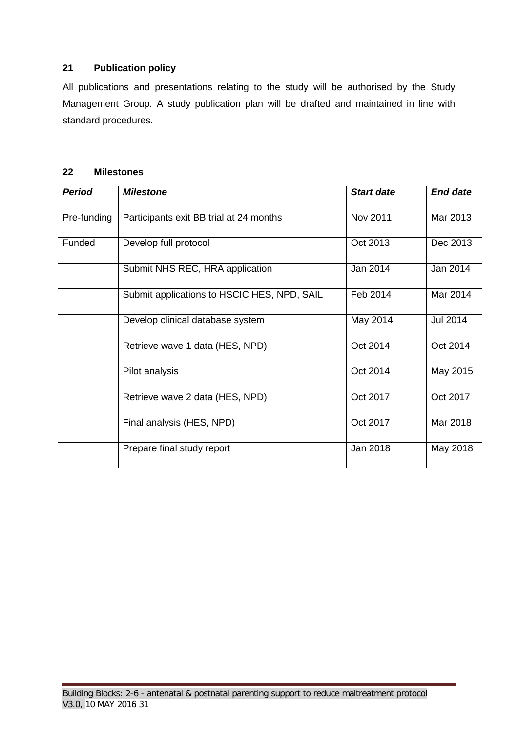# <span id="page-30-0"></span>**21 Publication policy**

All publications and presentations relating to the study will be authorised by the Study Management Group. A study publication plan will be drafted and maintained in line with standard procedures.

#### <span id="page-30-1"></span>**22 Milestones**

<span id="page-30-2"></span>

| <b>Period</b> | <b>Milestone</b>                            | <b>Start date</b> | <b>End date</b> |
|---------------|---------------------------------------------|-------------------|-----------------|
| Pre-funding   | Participants exit BB trial at 24 months     | Nov 2011          | Mar 2013        |
| Funded        | Develop full protocol                       | Oct 2013          | Dec 2013        |
|               | Submit NHS REC, HRA application             | Jan 2014          | Jan 2014        |
|               | Submit applications to HSCIC HES, NPD, SAIL | Feb 2014          | Mar 2014        |
|               | Develop clinical database system            | May 2014          | <b>Jul 2014</b> |
|               | Retrieve wave 1 data (HES, NPD)             | Oct 2014          | Oct 2014        |
|               | Pilot analysis                              | Oct 2014          | May 2015        |
|               | Retrieve wave 2 data (HES, NPD)             | Oct 2017          | Oct 2017        |
|               | Final analysis (HES, NPD)                   | Oct 2017          | Mar 2018        |
|               | Prepare final study report                  | Jan 2018          | May 2018        |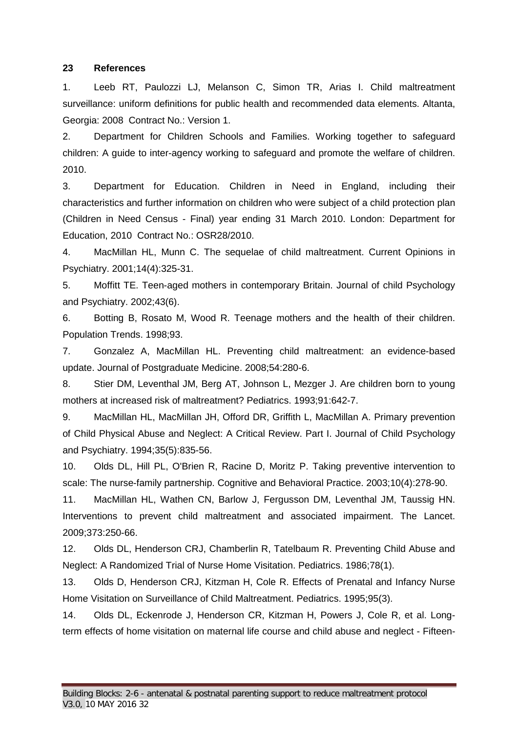#### **23 References**

1. Leeb RT, Paulozzi LJ, Melanson C, Simon TR, Arias I. Child maltreatment surveillance: uniform definitions for public health and recommended data elements. Altanta, Georgia: 2008 Contract No.: Version 1.

2. Department for Children Schools and Families. Working together to safeguard children: A guide to inter-agency working to safeguard and promote the welfare of children. 2010.

3. Department for Education. Children in Need in England, including their characteristics and further information on children who were subject of a child protection plan (Children in Need Census - Final) year ending 31 March 2010. London: Department for Education, 2010 Contract No.: OSR28/2010.

4. MacMillan HL, Munn C. The sequelae of child maltreatment. Current Opinions in Psychiatry. 2001;14(4):325-31.

5. Moffitt TE. Teen-aged mothers in contemporary Britain. Journal of child Psychology and Psychiatry. 2002;43(6).

6. Botting B, Rosato M, Wood R. Teenage mothers and the health of their children. Population Trends. 1998;93.

7. Gonzalez A, MacMillan HL. Preventing child maltreatment: an evidence-based update. Journal of Postgraduate Medicine. 2008;54:280-6.

8. Stier DM, Leventhal JM, Berg AT, Johnson L, Mezger J. Are children born to young mothers at increased risk of maltreatment? Pediatrics. 1993;91:642-7.

9. MacMillan HL, MacMillan JH, Offord DR, Griffith L, MacMillan A. Primary prevention of Child Physical Abuse and Neglect: A Critical Review. Part I. Journal of Child Psychology and Psychiatry. 1994;35(5):835-56.

10. Olds DL, Hill PL, O'Brien R, Racine D, Moritz P. Taking preventive intervention to scale: The nurse-family partnership. Cognitive and Behavioral Practice. 2003;10(4):278-90.

11. MacMillan HL, Wathen CN, Barlow J, Fergusson DM, Leventhal JM, Taussig HN. Interventions to prevent child maltreatment and associated impairment. The Lancet. 2009;373:250-66.

12. Olds DL, Henderson CRJ, Chamberlin R, Tatelbaum R. Preventing Child Abuse and Neglect: A Randomized Trial of Nurse Home Visitation. Pediatrics. 1986;78(1).

13. Olds D, Henderson CRJ, Kitzman H, Cole R. Effects of Prenatal and Infancy Nurse Home Visitation on Surveillance of Child Maltreatment. Pediatrics. 1995;95(3).

14. Olds DL, Eckenrode J, Henderson CR, Kitzman H, Powers J, Cole R, et al. Longterm effects of home visitation on maternal life course and child abuse and neglect - Fifteen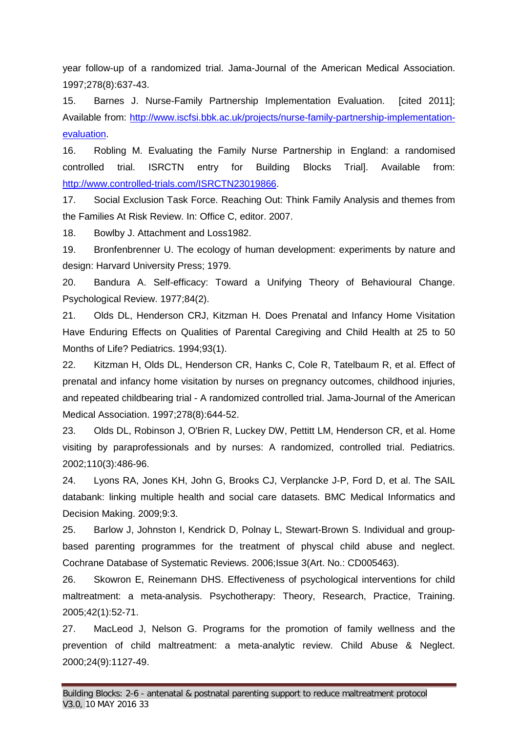year follow-up of a randomized trial. Jama-Journal of the American Medical Association. 1997;278(8):637-43.

15. Barnes J. Nurse-Family Partnership Implementation Evaluation. [cited 2011]; Available from: [http://www.iscfsi.bbk.ac.uk/projects/nurse-family-partnership-implementation](http://www.iscfsi.bbk.ac.uk/projects/nurse-family-partnership-implementation-evaluation)[evaluation.](http://www.iscfsi.bbk.ac.uk/projects/nurse-family-partnership-implementation-evaluation)

16. Robling M. Evaluating the Family Nurse Partnership in England: a randomised controlled trial. ISRCTN entry for Building Blocks Trial]. Available from: [http://www.controlled-trials.com/ISRCTN23019866.](http://www.controlled-trials.com/ISRCTN23019866)

17. Social Exclusion Task Force. Reaching Out: Think Family Analysis and themes from the Families At Risk Review. In: Office C, editor. 2007.

18. Bowlby J. Attachment and Loss1982.

19. Bronfenbrenner U. The ecology of human development: experiments by nature and design: Harvard University Press; 1979.

20. Bandura A. Self-efficacy: Toward a Unifying Theory of Behavioural Change. Psychological Review. 1977;84(2).

21. Olds DL, Henderson CRJ, Kitzman H. Does Prenatal and Infancy Home Visitation Have Enduring Effects on Qualities of Parental Caregiving and Child Health at 25 to 50 Months of Life? Pediatrics. 1994;93(1).

22. Kitzman H, Olds DL, Henderson CR, Hanks C, Cole R, Tatelbaum R, et al. Effect of prenatal and infancy home visitation by nurses on pregnancy outcomes, childhood injuries, and repeated childbearing trial - A randomized controlled trial. Jama-Journal of the American Medical Association. 1997;278(8):644-52.

23. Olds DL, Robinson J, O'Brien R, Luckey DW, Pettitt LM, Henderson CR, et al. Home visiting by paraprofessionals and by nurses: A randomized, controlled trial. Pediatrics. 2002;110(3):486-96.

24. Lyons RA, Jones KH, John G, Brooks CJ, Verplancke J-P, Ford D, et al. The SAIL databank: linking multiple health and social care datasets. BMC Medical Informatics and Decision Making. 2009;9:3.

25. Barlow J, Johnston I, Kendrick D, Polnay L, Stewart-Brown S. Individual and groupbased parenting programmes for the treatment of physcal child abuse and neglect. Cochrane Database of Systematic Reviews. 2006;Issue 3(Art. No.: CD005463).

26. Skowron E, Reinemann DHS. Effectiveness of psychological interventions for child maltreatment: a meta-analysis. Psychotherapy: Theory, Research, Practice, Training. 2005;42(1):52-71.

27. MacLeod J, Nelson G. Programs for the promotion of family wellness and the prevention of child maltreatment: a meta-analytic review. Child Abuse & Neglect. 2000;24(9):1127-49.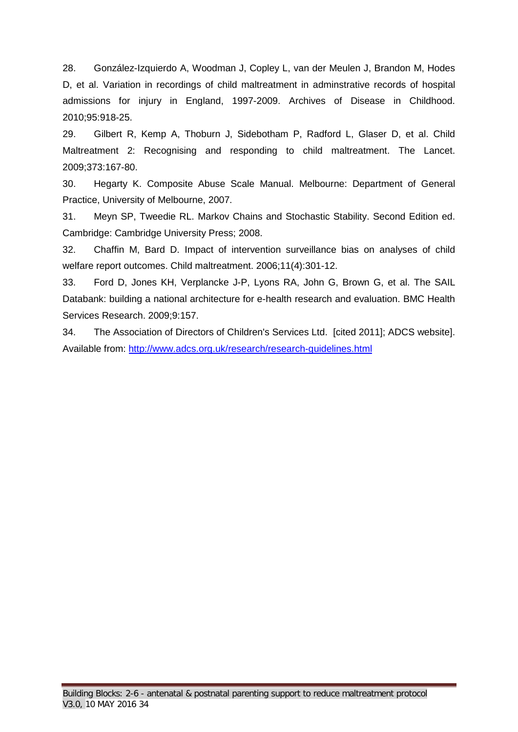28. González-Izquierdo A, Woodman J, Copley L, van der Meulen J, Brandon M, Hodes D, et al. Variation in recordings of child maltreatment in adminstrative records of hospital admissions for injury in England, 1997-2009. Archives of Disease in Childhood. 2010;95:918-25.

29. Gilbert R, Kemp A, Thoburn J, Sidebotham P, Radford L, Glaser D, et al. Child Maltreatment 2: Recognising and responding to child maltreatment. The Lancet. 2009;373:167-80.

30. Hegarty K. Composite Abuse Scale Manual. Melbourne: Department of General Practice, University of Melbourne, 2007.

31. Meyn SP, Tweedie RL. Markov Chains and Stochastic Stability. Second Edition ed. Cambridge: Cambridge University Press; 2008.

32. Chaffin M, Bard D. Impact of intervention surveillance bias on analyses of child welfare report outcomes. Child maltreatment. 2006;11(4):301-12.

33. Ford D, Jones KH, Verplancke J-P, Lyons RA, John G, Brown G, et al. The SAIL Databank: building a national architecture for e-health research and evaluation. BMC Health Services Research. 2009;9:157.

34. The Association of Directors of Children's Services Ltd. [cited 2011]; ADCS website]. Available from:<http://www.adcs.org.uk/research/research-guidelines.html>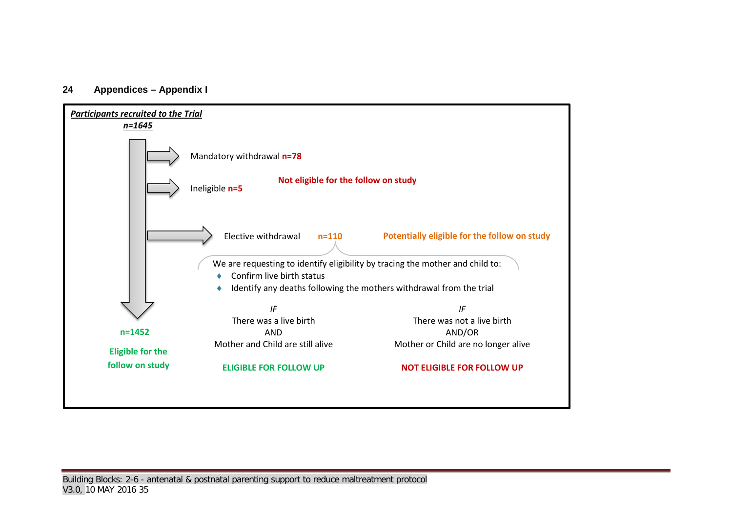#### **24 Appendices – Appendix I**

<span id="page-34-0"></span>